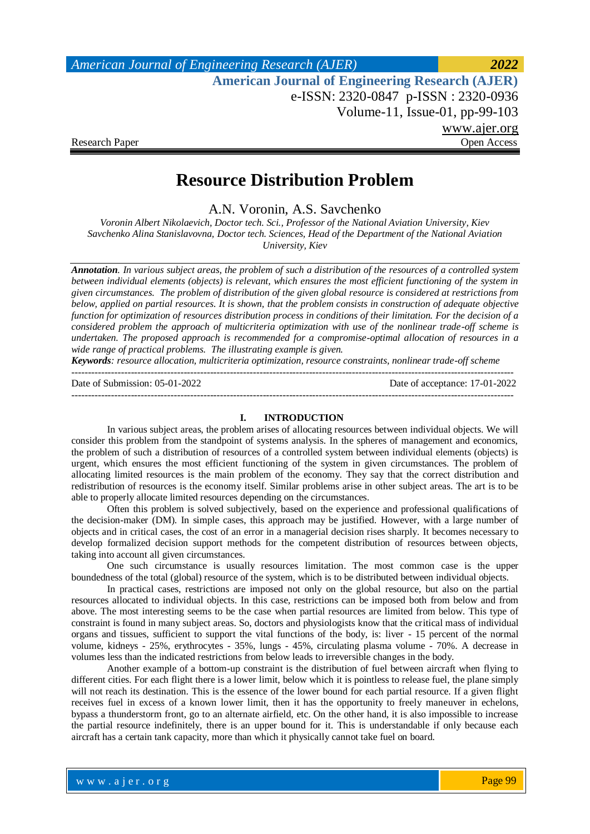# **Resource Distribution Problem**

A.N. Voronin, A.S. Savchenko

*Voronin Albert Nikolaevich, Doctor tech. Sci., Professor of the National Aviation University, Kiev Savchenko Alina Stanislavovna, Doctor tech. Sciences, Head of the Department of the National Aviation University, Kiev*

*Annotation. In various subject areas, the problem of such a distribution of the resources of a controlled system between individual elements (objects) is relevant, which ensures the most efficient functioning of the system in given circumstances. The problem of distribution of the given global resource is considered at restrictions from below, applied on partial resources. It is shown, that the problem consists in construction of adequate objective function for optimization of resources distribution process in conditions of their limitation. For the decision of a considered problem the approach of multicriteria optimization with use of the nonlinear trade-off scheme is undertaken. The proposed approach is recommended for a compromise-optimal allocation of resources in a wide range of practical problems. The illustrating example is given.*

*Keywords: resource allocation, multicriteria optimization, resource constraints, nonlinear trade-off scheme* --------------------------------------------------------------------------------------------------------------------------------------

Date of Submission: 05-01-2022 Date of acceptance: 17-01-2022

### **I. INTRODUCTION**

--------------------------------------------------------------------------------------------------------------------------------------

In various subject areas, the problem arises of allocating resources between individual objects. We will consider this problem from the standpoint of systems analysis. In the spheres of management and economics, the problem of such a distribution of resources of a controlled system between individual elements (objects) is urgent, which ensures the most efficient functioning of the system in given circumstances. The problem of allocating limited resources is the main problem of the economy. They say that the correct distribution and redistribution of resources is the economy itself. Similar problems arise in other subject areas. The art is to be able to properly allocate limited resources depending on the circumstances.

Often this problem is solved subjectively, based on the experience and professional qualifications of the decision-maker (DM). In simple cases, this approach may be justified. However, with a large number of objects and in critical cases, the cost of an error in a managerial decision rises sharply. It becomes necessary to develop formalized decision support methods for the competent distribution of resources between objects, taking into account all given circumstances.

One such circumstance is usually resources limitation. The most common case is the upper boundedness of the total (global) resource of the system, which is to be distributed between individual objects.

In practical cases, restrictions are imposed not only on the global resource, but also on the partial resources allocated to individual objects. In this case, restrictions can be imposed both from below and from above. The most interesting seems to be the case when partial resources are limited from below. This type of constraint is found in many subject areas. So, doctors and physiologists know that the critical mass of individual organs and tissues, sufficient to support the vital functions of the body, is: liver - 15 percent of the normal volume, kidneys - 25%, erythrocytes - 35%, lungs - 45%, circulating plasma volume - 70%. A decrease in volumes less than the indicated restrictions from below leads to irreversible changes in the body.

Another example of a bottom-up constraint is the distribution of fuel between aircraft when flying to different cities. For each flight there is a lower limit, below which it is pointless to release fuel, the plane simply will not reach its destination. This is the essence of the lower bound for each partial resource. If a given flight receives fuel in excess of a known lower limit, then it has the opportunity to freely maneuver in echelons, bypass a thunderstorm front, go to an alternate airfield, etc. On the other hand, it is also impossible to increase the partial resource indefinitely, there is an upper bound for it. This is understandable if only because each aircraft has a certain tank capacity, more than which it physically cannot take fuel on board.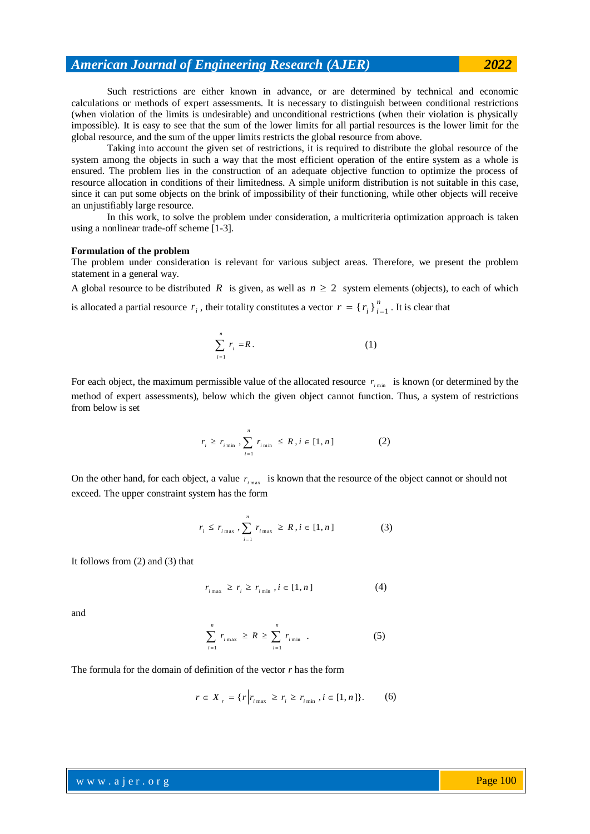Such restrictions are either known in advance, or are determined by technical and economic calculations or methods of expert assessments. It is necessary to distinguish between conditional restrictions (when violation of the limits is undesirable) and unconditional restrictions (when their violation is physically impossible). It is easy to see that the sum of the lower limits for all partial resources is the lower limit for the global resource, and the sum of the upper limits restricts the global resource from above.

Taking into account the given set of restrictions, it is required to distribute the global resource of the system among the objects in such a way that the most efficient operation of the entire system as a whole is ensured. The problem lies in the construction of an adequate objective function to optimize the process of resource allocation in conditions of their limitedness. A simple uniform distribution is not suitable in this case, since it can put some objects on the brink of impossibility of their functioning, while other objects will receive an unjustifiably large resource.

In this work, to solve the problem under consideration, a multicriteria optimization approach is taken using a nonlinear trade-off scheme [1-3].

#### **Formulation of the problem**

The problem under consideration is relevant for various subject areas. Therefore, we present the problem statement in a general way.

A global resource to be distributed R is given, as well as  $n \ge 2$  system elements (objects), to each of which

is allocated a partial resource  $r_i$ , their totality constitutes a vector  $r = \{r_i\}_{i=1}^n$  $r = \{r_i\}_{i=1}^n$ . It is clear that

$$
\sum_{i=1}^{n} r_i = R. \tag{1}
$$

For each object, the maximum permissible value of the allocated resource  $r_{i_{min}}$  is known (or determined by the method of expert assessments), below which the given object cannot function. Thus, a system of restrictions from below is set

$$
r_{i} \ge r_{i_{\min}}, \sum_{i=1}^{n} r_{i_{\min}} \le R, i \in [1, n]
$$
 (2)

On the other hand, for each object, a value  $r_{i_{\text{max}}}$  is known that the resource of the object cannot or should not exceed. The upper constraint system has the form

$$
r_{i} \leq r_{i_{\max}}, \sum_{i=1}^{n} r_{i_{\max}} \geq R, i \in [1, n]
$$
 (3)

It follows from (2) and (3) that

$$
r_{i_{\max}} \ge r_i \ge r_{i_{\min}}, i \in [1, n] \tag{4}
$$

and

$$
\sum_{i=1}^{n} r_{i\max} \ge R \ge \sum_{i=1}^{n} r_{i\min} \quad . \tag{5}
$$

The formula for the domain of definition of the vector *r* has the form

$$
r \in X_{r} = \{r \mid r_{i_{\max}} \ge r_{i} \ge r_{i_{\min}}, i \in [1, n]\}. \tag{6}
$$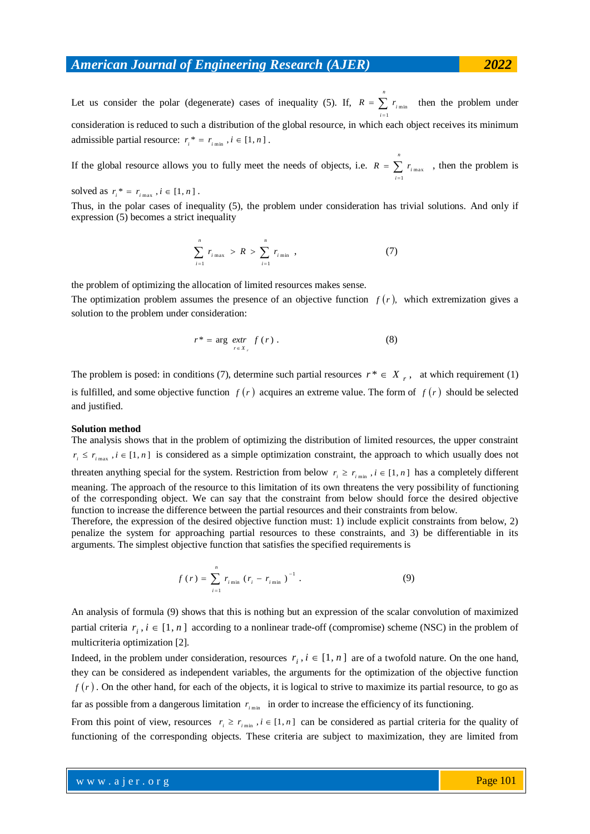Let us consider the polar (degenerate) cases of inequality (5). If,  $R = \sum$  $\overline{a}$ *i*  $R = \sum r_{i \text{min}}$  then the problem under 1 consideration is reduced to such a distribution of the global resource, in which each object receives its minimum admissible partial resource:  $r_i^* = r_{i_{\text{min}}}$ ,  $i \in [1, n]$ .

*n*

If the global resource allows you to fully meet the needs of objects, i.e.  $R = \sum r_{i_{max}}$ , then the problem is  $\overline{a}$ *n i* 1

solved as  $r_i^* = r_{i_{\text{max}}}$ ,  $i \in [1, n]$ .

Thus, in the polar cases of inequality (5), the problem under consideration has trivial solutions. And only if expression (5) becomes a strict inequality

$$
\sum_{i=1}^{n} r_{i_{\max}} > R > \sum_{i=1}^{n} r_{i_{\min}} , \qquad (7)
$$

the problem of optimizing the allocation of limited resources makes sense.

The optimization problem assumes the presence of an objective function  $f(r)$ , which extremization gives a solution to the problem under consideration:

$$
r^* = \arg \underbrace{extr}_{r \in X_r} f(r).
$$
 (8)

The problem is posed: in conditions (7), determine such partial resources  $r^* \in X_r$ , at which requirement (1) is fulfilled, and some objective function  $f(r)$  acquires an extreme value. The form of  $f(r)$  should be selected and justified.

#### **Solution method**

The analysis shows that in the problem of optimizing the distribution of limited resources, the upper constraint  $r_i \leq r_{i_{\text{max}}}$ ,  $i \in [1, n]$  is considered as a simple optimization constraint, the approach to which usually does not threaten anything special for the system. Restriction from below  $r_i \ge r_{i_{min}}$ ,  $i \in [1, n]$  has a completely different meaning. The approach of the resource to this limitation of its own threatens the very possibility of functioning of the corresponding object. We can say that the constraint from below should force the desired objective function to increase the difference between the partial resources and their constraints from below.

Therefore, the expression of the desired objective function must: 1) include explicit constraints from below, 2) penalize the system for approaching partial resources to these constraints, and 3) be differentiable in its arguments. The simplest objective function that satisfies the specified requirements is

$$
f(r) = \sum_{i=1}^{n} r_{i \min} (r_i - r_{i \min})^{-1} . \tag{9}
$$

An analysis of formula (9) shows that this is nothing but an expression of the scalar convolution of maximized partial criteria  $r_i$ ,  $i \in [1, n]$  according to a nonlinear trade-off (compromise) scheme (NSC) in the problem of multicriteria optimization [2].

Indeed, in the problem under consideration, resources  $r_i$ ,  $i \in [1, n]$  are of a twofold nature. On the one hand, they can be considered as independent variables, the arguments for the optimization of the objective function  $f(r)$ . On the other hand, for each of the objects, it is logical to strive to maximize its partial resource, to go as far as possible from a dangerous limitation  $r_{i_{min}}$  in order to increase the efficiency of its functioning.

From this point of view, resources  $r_i \ge r_{i_{min}}$ ,  $i \in [1, n]$  can be considered as partial criteria for the quality of functioning of the corresponding objects. These criteria are subject to maximization, they are limited from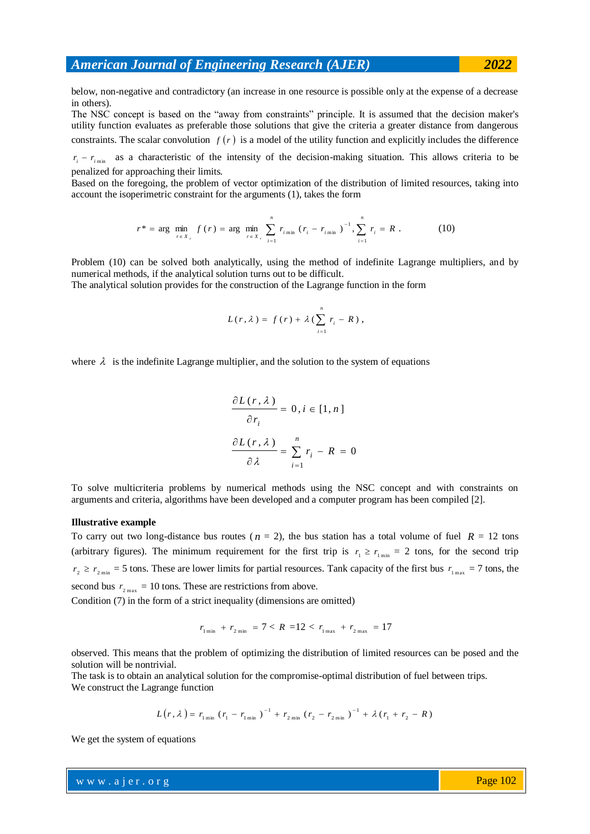below, non-negative and contradictory (an increase in one resource is possible only at the expense of a decrease in others).

The NSC concept is based on the "away from constraints" principle. It is assumed that the decision maker's utility function evaluates as preferable those solutions that give the criteria a greater distance from dangerous constraints. The scalar convolution  $f(r)$  is a model of the utility function and explicitly includes the difference

 $r_i - r_{i_{\text{min}}}$  as a characteristic of the intensity of the decision-making situation. This allows criteria to be penalized for approaching their limits.

Based on the foregoing, the problem of vector optimization of the distribution of limited resources, taking into account the isoperimetric constraint for the arguments (1), takes the form

$$
r^* = \arg \min_{r \in X} f(r) = \arg \min_{r \in X} \sum_{i=1}^n r_{i \min} (r_i - r_{i \min})^{-1}, \sum_{i=1}^n r_i = R.
$$
 (10)

Problem (10) can be solved both analytically, using the method of indefinite Lagrange multipliers, and by numerical methods, if the analytical solution turns out to be difficult.

The analytical solution provides for the construction of the Lagrange function in the form

$$
L(r,\lambda) = f(r) + \lambda \left( \sum_{i=1}^{n} r_i - R \right),
$$

where  $\lambda$  is the indefinite Lagrange multiplier, and the solution to the system of equations

$$
\frac{\partial L(r, \lambda)}{\partial r_i} = 0, i \in [1, n]
$$

$$
\frac{\partial L(r, \lambda)}{\partial \lambda} = \sum_{i=1}^n r_i - R = 0
$$

To solve multicriteria problems by numerical methods using the NSC concept and with constraints on arguments and criteria, algorithms have been developed and a computer program has been compiled [2].

### **Illustrative example**

To carry out two long-distance bus routes ( $n = 2$ ), the bus station has a total volume of fuel  $R = 12$  tons (arbitrary figures). The minimum requirement for the first trip is  $r_1 \ge r_{1\text{min}} = 2$  tons, for the second trip  $r_2 \ge r_{2\text{ min}} = 5$  tons. These are lower limits for partial resources. Tank capacity of the first bus  $r_{1\text{ max}} = 7$  tons, the second bus  $r_{2\text{ max}} = 10$  tons. These are restrictions from above.

Condition (7) in the form of a strict inequality (dimensions are omitted)

$$
r_{1\,\text{min}} + r_{2\,\text{min}} = 7 < R = 12 < r_{1\,\text{max}} + r_{2\,\text{max}} = 17
$$

observed. This means that the problem of optimizing the distribution of limited resources can be posed and the solution will be nontrivial.

The task is to obtain an analytical solution for the compromise-optimal distribution of fuel between trips. We construct the Lagrange function

$$
L(r, \lambda) = r_{1\min} (r_1 - r_{1\min})^{-1} + r_{2\min} (r_2 - r_{2\min})^{-1} + \lambda (r_1 + r_2 - R)
$$

We get the system of equations

w w w . a j e r . o r g where  $\mathcal{L} = \mathcal{L} \times \mathcal{L}$  is the result of  $\mathcal{L} = \mathcal{L} \times \mathcal{L}$